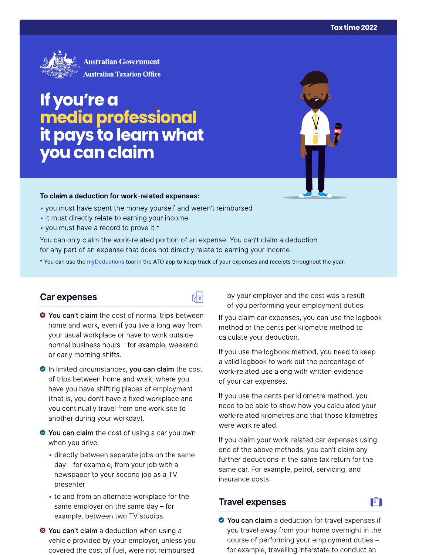

# If you're a<br>media professional<br>it pays to learn what<br>you can claim

### To claim a deduction for work-related expenses:

- you must have spent the money yourself and weren't reimbursed
- it must directly relate to earning your income
- you must have a record to prove it.\*

You can only claim the work-related portion of an expense. You can't claim a deduction for any part of an expense that does not directly relate to earning your income.

\* You can use the myDeductions tool in the ATO app to keep track of your expenses and receipts throughout the year.

品

## Car expenses

- <sup>●</sup> You can't claim the cost of normal trips between home and work, even if you live a long way from your usual workplace or have to work outside normal business hours - for example, weekend or early morning shifts.
- In limited circumstances, you can claim the cost of trips between home and work, where you have you have shifting places of employment (that is, you don't have a fixed workplace and you continually travel from one work site to another during your workday).
- ◆ You can claim the cost of using a car you own when you drive:
	- directly between separate jobs on the same day - for example, from your job with a newspaper to your second job as a TV presenter
	- to and from an alternate workplace for the same employer on the same day  $-$  for example, between two TV studios.
- <sup>●</sup> You can't claim a deduction when using a vehicle provided by your employer, unless you covered the cost of fuel, were not reimbursed

by your employer and the cost was a result of you performing your employment duties.

If you claim car expenses, you can use the logbook method or the cents per kilometre method to calculate your deduction.

If you use the logbook method, you need to keep a valid logbook to work out the percentage of work-related use along with written evidence of your car expenses.

If you use the cents per kilometre method, you need to be able to show how you calculated your work-related kilometres and that those kilometres were work related.

If you claim your work-related car expenses using one of the above methods, you can't claim any further deductions in the same tax return for the same car. For example, petrol, servicing, and insurance costs.

# **Travel expenses**

◆ You can claim a deduction for travel expenses if you travel away from your home overnight in the course of performing your employment duties for example, travelling interstate to conduct an

 $\mathbf{F}$